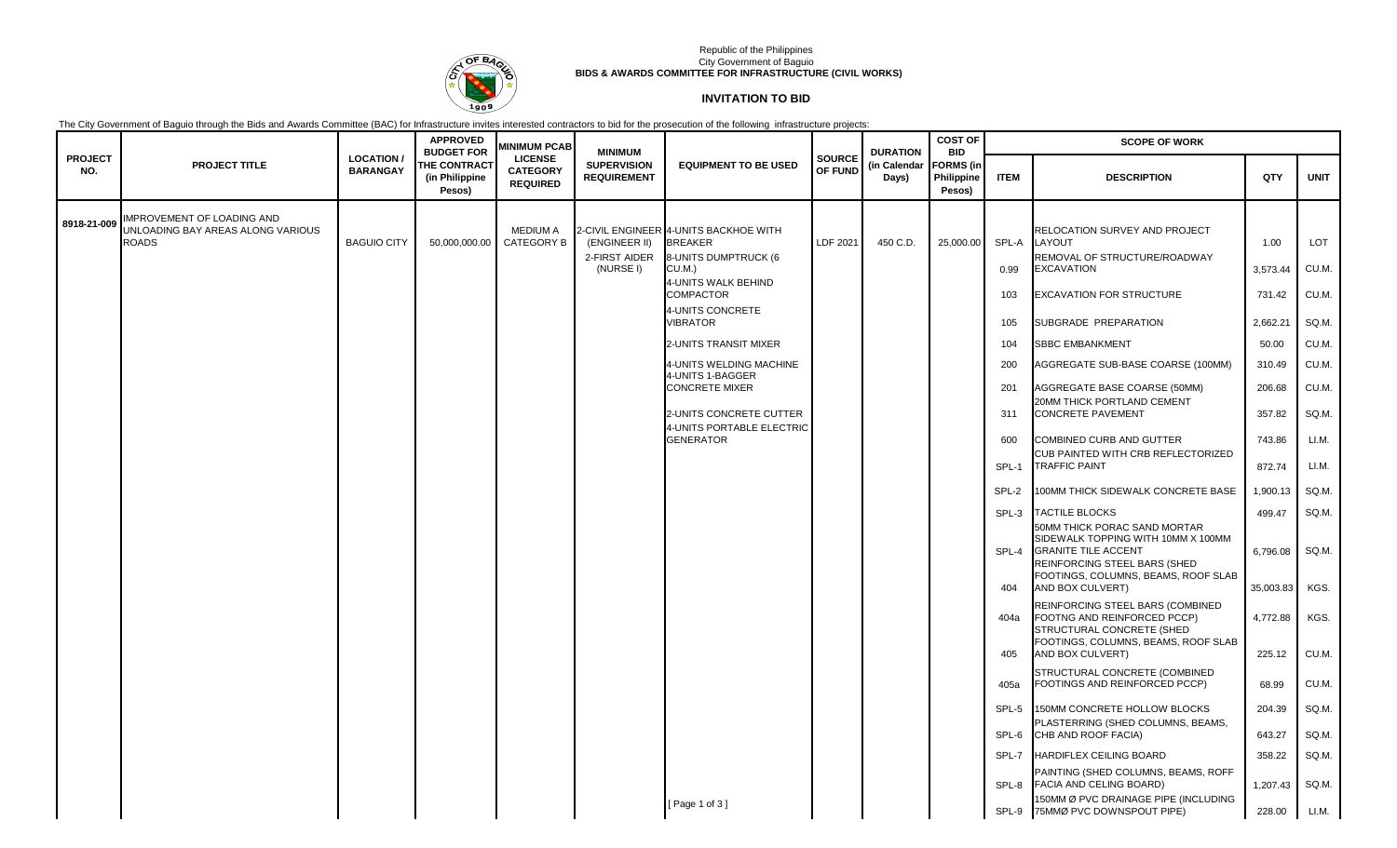

### Republic of the Philippines City Government of Baguio **BIDS & AWARDS COMMITTEE FOR INFRASTRUCTURE (CIVIL WORKS)**

# **INVITATION TO BID**

The City Government of Baguio through the Bids and Awards Committee (BAC) for Infrastructure invites interested contractors to bid for the prosecution of the following infrastructure projects:

|                       |                                                                                        |                                     | <b>APPROVED</b><br><b>BUDGET FOR</b>            | <b>MINIMUM PCAB</b>                                  | <b>MINIMUM</b>                              |                                                                                                                                                                                                                                                                                                                                                          |                          | <b>DURATION</b><br>(in Calendar<br>Days) | <b>COST OF</b><br><b>BID</b>             | <b>SCOPE OF WORK</b>                                                                                                                                                 |                                                                                                                                                                                                                                                                                                                                                                                                                                                                                                                                                                                                                                                                                                                                                                                                                                                                                                                                                                                                                                                                                                              |                                                                                                                                                                                                                           |                                                                                                                                                                                       |  |  |
|-----------------------|----------------------------------------------------------------------------------------|-------------------------------------|-------------------------------------------------|------------------------------------------------------|---------------------------------------------|----------------------------------------------------------------------------------------------------------------------------------------------------------------------------------------------------------------------------------------------------------------------------------------------------------------------------------------------------------|--------------------------|------------------------------------------|------------------------------------------|----------------------------------------------------------------------------------------------------------------------------------------------------------------------|--------------------------------------------------------------------------------------------------------------------------------------------------------------------------------------------------------------------------------------------------------------------------------------------------------------------------------------------------------------------------------------------------------------------------------------------------------------------------------------------------------------------------------------------------------------------------------------------------------------------------------------------------------------------------------------------------------------------------------------------------------------------------------------------------------------------------------------------------------------------------------------------------------------------------------------------------------------------------------------------------------------------------------------------------------------------------------------------------------------|---------------------------------------------------------------------------------------------------------------------------------------------------------------------------------------------------------------------------|---------------------------------------------------------------------------------------------------------------------------------------------------------------------------------------|--|--|
| <b>PROJECT</b><br>NO. | <b>PROJECT TITLE</b>                                                                   | <b>LOCATION/</b><br><b>BARANGAY</b> | <b>THE CONTRACT</b><br>(in Philippine<br>Pesos) | <b>LICENSE</b><br><b>CATEGORY</b><br><b>REQUIRED</b> | <b>SUPERVISION</b><br><b>REQUIREMENT</b>    | <b>EQUIPMENT TO BE USED</b>                                                                                                                                                                                                                                                                                                                              | <b>SOURCE</b><br>OF FUND |                                          | <b>FORMS</b> (in<br>Philippine<br>Pesos) | <b>ITEM</b>                                                                                                                                                          | <b>DESCRIPTION</b>                                                                                                                                                                                                                                                                                                                                                                                                                                                                                                                                                                                                                                                                                                                                                                                                                                                                                                                                                                                                                                                                                           | QTY                                                                                                                                                                                                                       | <b>UNIT</b>                                                                                                                                                                           |  |  |
| 8918-21-009           | <b>IMPROVEMENT OF LOADING AND</b><br>UNLOADING BAY AREAS ALONG VARIOUS<br><b>ROADS</b> | <b>BAGUIO CITY</b>                  | 50,000,000.00                                   | <b>MEDIUM A</b><br>CATEGORY B                        | (ENGINEER II)<br>2-FIRST AIDER<br>(NURSE I) | 2-CIVIL ENGINEER 4-UNITS BACKHOE WITH<br><b>BREAKER</b><br>8-UNITS DUMPTRUCK (6<br>CU.M.)<br>4-UNITS WALK BEHIND<br><b>COMPACTOR</b><br>4-UNITS CONCRETE<br><b>JIBRATOR</b><br>2-UNITS TRANSIT MIXER<br>4-UNITS WELDING MACHINE<br>4-UNITS 1-BAGGER<br><b>CONCRETE MIXER</b><br>2-UNITS CONCRETE CUTTER<br>4-UNITS PORTABLE ELECTRIC<br><b>GENERATOR</b> | LDF 2021                 | 450 C.D.                                 | 25,000.00                                | SPL-A<br>0.99<br>103<br>105<br>104<br>200<br>201<br>311<br>600<br>SPL-1<br>SPL-2<br>SPL-3<br>SPL-4<br>404<br>404a<br>405<br>405a<br>SPL-5<br>SPL-6<br>SPL-7<br>SPL-8 | RELOCATION SURVEY AND PROJECT<br>LAYOUT<br>REMOVAL OF STRUCTURE/ROADWAY<br><b>EXCAVATION</b><br><b>EXCAVATION FOR STRUCTURE</b><br>SUBGRADE PREPARATION<br><b>SBBC EMBANKMENT</b><br>AGGREGATE SUB-BASE COARSE (100MM)<br>AGGREGATE BASE COARSE (50MM)<br>20MM THICK PORTLAND CEMENT<br><b>CONCRETE PAVEMENT</b><br>COMBINED CURB AND GUTTER<br>CUB PAINTED WITH CRB REFLECTORIZED<br><b>TRAFFIC PAINT</b><br>100MM THICK SIDEWALK CONCRETE BASE<br><b>TACTILE BLOCKS</b><br>50MM THICK PORAC SAND MORTAR<br>SIDEWALK TOPPING WITH 10MM X 100MM<br><b>GRANITE TILE ACCENT</b><br>REINFORCING STEEL BARS (SHED<br>FOOTINGS, COLUMNS, BEAMS, ROOF SLAB<br>AND BOX CULVERT)<br>REINFORCING STEEL BARS (COMBINED<br>FOOTNG AND REINFORCED PCCP)<br>STRUCTURAL CONCRETE (SHED<br>FOOTINGS, COLUMNS, BEAMS, ROOF SLAB<br>AND BOX CULVERT)<br>STRUCTURAL CONCRETE (COMBINED<br>FOOTINGS AND REINFORCED PCCP)<br>150MM CONCRETE HOLLOW BLOCKS<br>PLASTERRING (SHED COLUMNS, BEAMS,<br>CHB AND ROOF FACIA)<br><b>HARDIFLEX CEILING BOARD</b><br>PAINTING (SHED COLUMNS, BEAMS, ROFF<br><b>FACIA AND CELING BOARD)</b> | 1.00<br>3,573.44<br>731.42<br>2,662.21<br>50.00<br>310.49<br>206.68<br>357.82<br>743.86<br>872.74<br>1,900.13<br>499.47<br>6,796.08<br>35,003.83<br>4,772.88<br>225.12<br>68.99<br>204.39<br>643.27<br>358.22<br>1,207.43 | LOT<br>CU.M.<br>CU.M.<br>SQ.M.<br>CU.M.<br>CU.M.<br>CU.M.<br>SQ.M.<br>LI.M.<br>LI.M.<br>SQ.M.<br>SQ.M.<br>SQ.M.<br>KGS.<br>KGS.<br>CU.M.<br>CU.M.<br>SQ.M.<br>SQ.M.<br>SQ M.<br>SQ.M. |  |  |
|                       |                                                                                        |                                     |                                                 |                                                      |                                             | [Page 1 of 3]                                                                                                                                                                                                                                                                                                                                            |                          |                                          |                                          | SPL-9                                                                                                                                                                | 150MM Ø PVC DRAINAGE PIPE (INCLUDING<br>75MMØ PVC DOWNSPOUT PIPE)                                                                                                                                                                                                                                                                                                                                                                                                                                                                                                                                                                                                                                                                                                                                                                                                                                                                                                                                                                                                                                            | 228.00                                                                                                                                                                                                                    | LI.M.                                                                                                                                                                                 |  |  |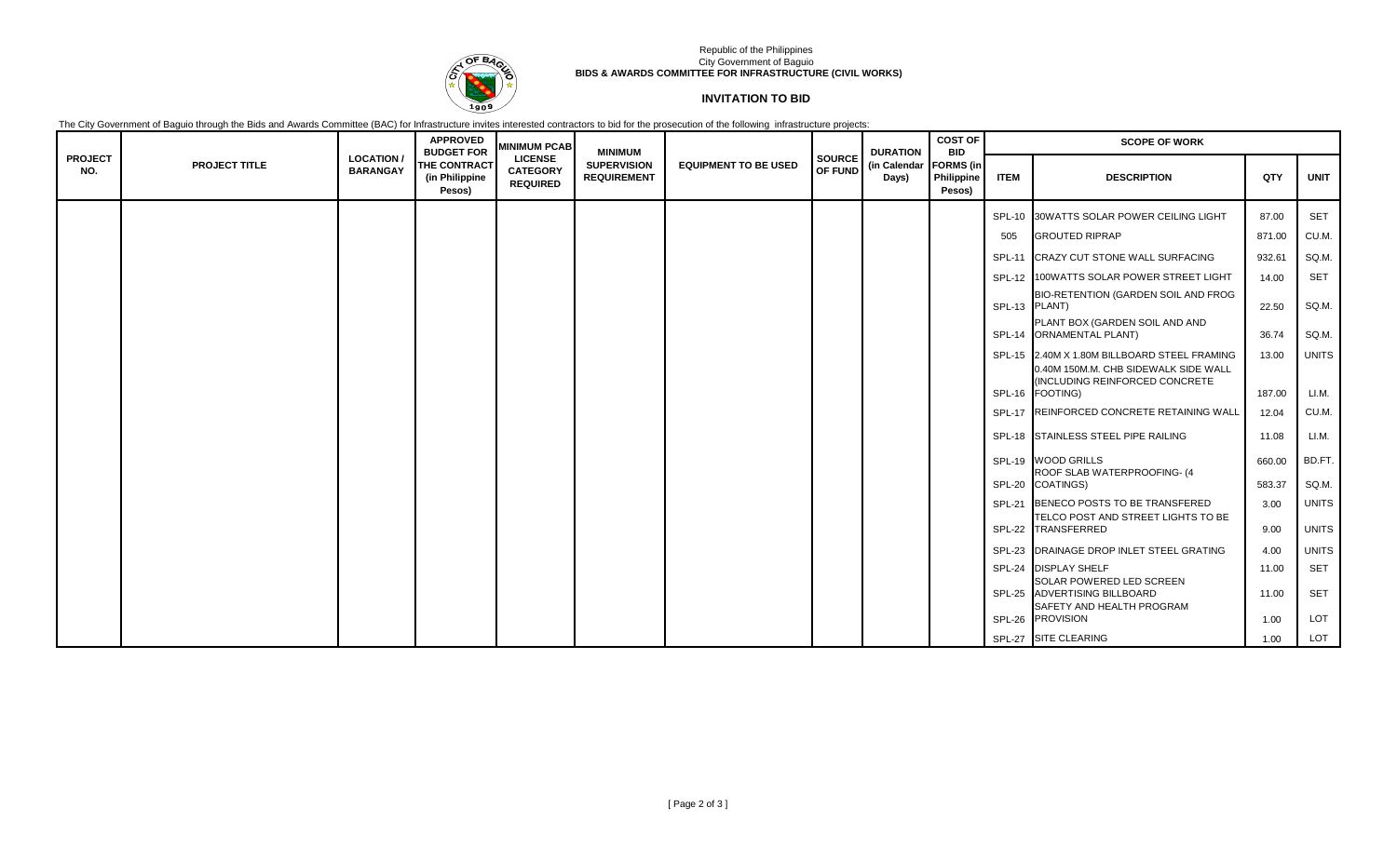

### Republic of the Philippines City Government of Baguio **BIDS & AWARDS COMMITTEE FOR INFRASTRUCTURE (CIVIL WORKS)**

# **INVITATION TO BID**

The City Government of Baguio through the Bids and Awards Committee (BAC) for Infrastructure invites interested contractors to bid for the prosecution of the following infrastructure projects:

|                       |                      |                                    | <b>APPROVED</b><br><b>BUDGET FOR</b>     | <b>MINIMUM PCAB</b>                                  | <b>MINIMUM</b>                           |                             |         | <b>DURATION</b><br><b>SOURCE</b><br>(in Calendar<br>Days) | <b>COST OF</b><br><b>BID</b>             | <b>SCOPE OF WORK</b> |                                                                            |        |              |  |
|-----------------------|----------------------|------------------------------------|------------------------------------------|------------------------------------------------------|------------------------------------------|-----------------------------|---------|-----------------------------------------------------------|------------------------------------------|----------------------|----------------------------------------------------------------------------|--------|--------------|--|
| <b>PROJECT</b><br>NO. | <b>PROJECT TITLE</b> | <b>LOCATION</b><br><b>BARANGAY</b> | THE CONTRACT<br>(in Philippine<br>Pesos) | <b>LICENSE</b><br><b>CATEGORY</b><br><b>REQUIRED</b> | <b>SUPERVISION</b><br><b>REQUIREMENT</b> | <b>EQUIPMENT TO BE USED</b> | OF FUND |                                                           | <b>FORMS</b> (in<br>Philippine<br>Pesos) | <b>ITEM</b>          | <b>DESCRIPTION</b>                                                         | QTY    | <b>UNIT</b>  |  |
|                       |                      |                                    |                                          |                                                      |                                          |                             |         |                                                           |                                          |                      | SPL-10 30WATTS SOLAR POWER CEILING LIGHT                                   | 87.00  | <b>SET</b>   |  |
|                       |                      |                                    |                                          |                                                      |                                          |                             |         |                                                           |                                          | 505                  | <b>GROUTED RIPRAP</b>                                                      | 871.00 | CU.M.        |  |
|                       |                      |                                    |                                          |                                                      |                                          |                             |         |                                                           |                                          |                      | SPL-11 CRAZY CUT STONE WALL SURFACING                                      | 932.61 | SQ.M.        |  |
|                       |                      |                                    |                                          |                                                      |                                          |                             |         |                                                           |                                          |                      | SPL-12 100WATTS SOLAR POWER STREET LIGHT                                   | 14.00  | <b>SET</b>   |  |
|                       |                      |                                    |                                          |                                                      |                                          |                             |         |                                                           |                                          |                      | BIO-RETENTION (GARDEN SOIL AND FROG<br>SPL-13 PLANT)                       | 22.50  | SQ M.        |  |
|                       |                      |                                    |                                          |                                                      |                                          |                             |         |                                                           |                                          |                      | PLANT BOX (GARDEN SOIL AND AND<br>SPL-14 ORNAMENTAL PLANT)                 | 36.74  | SQ M.        |  |
|                       |                      |                                    |                                          |                                                      |                                          |                             |         |                                                           |                                          |                      | SPL-15 2.40M X 1.80M BILLBOARD STEEL FRAMING                               | 13.00  | <b>UNITS</b> |  |
|                       |                      |                                    |                                          |                                                      |                                          |                             |         |                                                           |                                          |                      | 0.40M 150M.M. CHB SIDEWALK SIDE WALL<br>(INCLUDING REINFORCED CONCRETE     |        |              |  |
|                       |                      |                                    |                                          |                                                      |                                          |                             |         |                                                           |                                          |                      | SPL-16 FOOTING)                                                            | 187.00 | LI.M.        |  |
|                       |                      |                                    |                                          |                                                      |                                          |                             |         |                                                           |                                          |                      | SPL-17 REINFORCED CONCRETE RETAINING WALL                                  | 12.04  | CU.M.        |  |
|                       |                      |                                    |                                          |                                                      |                                          |                             |         |                                                           |                                          |                      | SPL-18 STAINLESS STEEL PIPE RAILING                                        | 11.08  | LI.M.        |  |
|                       |                      |                                    |                                          |                                                      |                                          |                             |         |                                                           |                                          |                      | SPL-19 WOOD GRILLS<br>ROOF SLAB WATERPROOFING- (4                          | 660.00 | BD.FT.       |  |
|                       |                      |                                    |                                          |                                                      |                                          |                             |         |                                                           |                                          |                      | SPL-20 COATINGS)                                                           | 583.37 | SQ M.        |  |
|                       |                      |                                    |                                          |                                                      |                                          |                             |         |                                                           |                                          |                      | SPL-21 BENECO POSTS TO BE TRANSFERED<br>TELCO POST AND STREET LIGHTS TO BE | 3.00   | <b>UNITS</b> |  |
|                       |                      |                                    |                                          |                                                      |                                          |                             |         |                                                           |                                          |                      | SPL-22 TRANSFERRED                                                         | 9.00   | <b>UNITS</b> |  |
|                       |                      |                                    |                                          |                                                      |                                          |                             |         |                                                           |                                          |                      | SPL-23 DRAINAGE DROP INLET STEEL GRATING                                   | 4.00   | <b>UNITS</b> |  |
|                       |                      |                                    |                                          |                                                      |                                          |                             |         |                                                           |                                          |                      | SPL-24 DISPLAY SHELF                                                       | 11.00  | <b>SET</b>   |  |
|                       |                      |                                    |                                          |                                                      |                                          |                             |         |                                                           |                                          |                      | SOLAR POWERED LED SCREEN<br>SPL-25 ADVERTISING BILLBOARD                   | 11.00  | <b>SET</b>   |  |
|                       |                      |                                    |                                          |                                                      |                                          |                             |         |                                                           |                                          |                      | SAFETY AND HEALTH PROGRAM<br>SPL-26 PROVISION                              | 1.00   | LOT          |  |
|                       |                      |                                    |                                          |                                                      |                                          |                             |         |                                                           |                                          |                      | SPL-27 SITE CLEARING                                                       | 1.00   | LOT          |  |